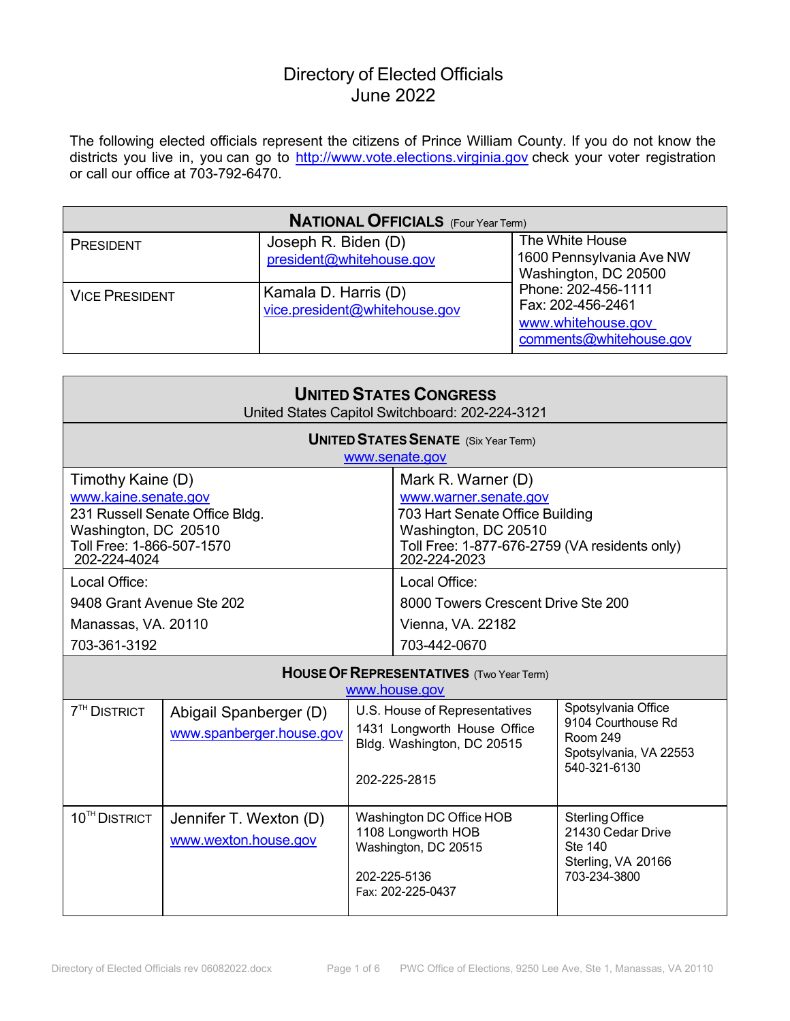The following elected officials represent the citizens of Prince William County. If you do not know the districts you live in, you can go to <u>[http://www.vote.elections.virginia.gov](http://www.vote.elections.virginia.gov/)</u> check your voter registration or call our office at 703-792-6470.

| <b>NATIONAL OFFICIALS</b> (Four Year Term) |                                                       |                                                                                           |  |
|--------------------------------------------|-------------------------------------------------------|-------------------------------------------------------------------------------------------|--|
| PRESIDENT                                  | Joseph R. Biden (D)<br>president@whitehouse.gov       | The White House<br>1600 Pennsylvania Ave NW<br>Washington, DC 20500                       |  |
| <b>VICE PRESIDENT</b>                      | Kamala D. Harris (D)<br>vice.president@whitehouse.gov | Phone: 202-456-1111<br>Fax: 202-456-2461<br>www.whitehouse.gov<br>comments@whitehouse.gov |  |

| <b>UNITED STATES CONGRESS</b><br>United States Capitol Switchboard: 202-224-3121                               |                                                               |  |                                                                                                                                                                         |                                                                                                        |
|----------------------------------------------------------------------------------------------------------------|---------------------------------------------------------------|--|-------------------------------------------------------------------------------------------------------------------------------------------------------------------------|--------------------------------------------------------------------------------------------------------|
|                                                                                                                | <b>UNITED STATES SENATE</b> (Six Year Term)<br>www.senate.gov |  |                                                                                                                                                                         |                                                                                                        |
| Timothy Kaine (D)<br>www.kaine.senate.gov<br>Washington, DC 20510<br>Toll Free: 1-866-507-1570<br>202-224-4024 | 231 Russell Senate Office Bldg.                               |  | Mark R. Warner (D)<br>www.warner.senate.gov<br>703 Hart Senate Office Building<br>Washington, DC 20510<br>Toll Free: 1-877-676-2759 (VA residents only)<br>202-224-2023 |                                                                                                        |
| Local Office:<br>9408 Grant Avenue Ste 202<br>Manassas, VA. 20110<br>703-361-3192                              |                                                               |  | Local Office:<br>8000 Towers Crescent Drive Ste 200<br>Vienna, VA. 22182<br>703-442-0670                                                                                |                                                                                                        |
| <b>HOUSE OF REPRESENTATIVES</b> (Two Year Term)<br>www.house.gov                                               |                                                               |  |                                                                                                                                                                         |                                                                                                        |
| <b>7<sup>TH</sup> DISTRICT</b>                                                                                 | Abigail Spanberger (D)<br>www.spanberger.house.gov            |  | U.S. House of Representatives<br>1431 Longworth House Office<br>Bldg. Washington, DC 20515<br>202-225-2815                                                              | Spotsylvania Office<br>9104 Courthouse Rd<br><b>Room 249</b><br>Spotsylvania, VA 22553<br>540-321-6130 |
| 10 <sup>TH</sup> DISTRICT                                                                                      | Jennifer T. Wexton (D)<br>www.wexton.house.gov                |  | Washington DC Office HOB<br>1108 Longworth HOB<br>Washington, DC 20515                                                                                                  | <b>Sterling Office</b><br>21430 Cedar Drive<br><b>Ste 140</b><br>Sterling, VA 20166                    |

202-225-5136 Fax: 202-225-0437 703-234-3800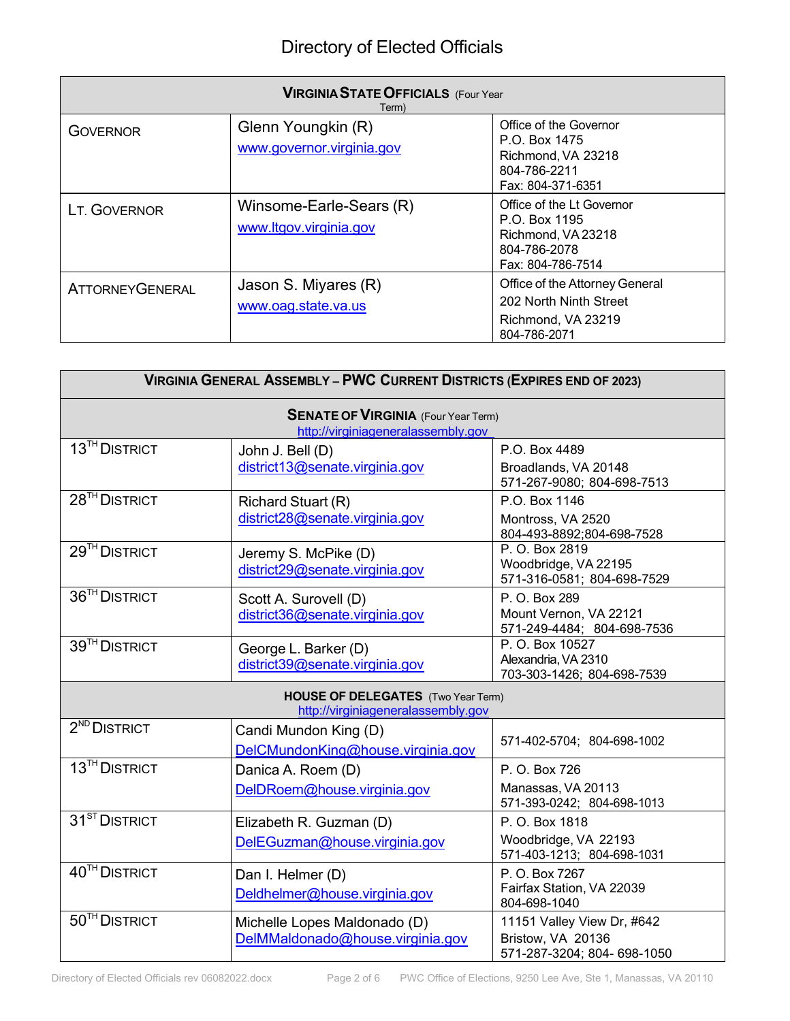| <b>VIRGINIA STATE OFFICIALS (Four Year</b><br>Term) |                                                   |                                                                                                       |  |
|-----------------------------------------------------|---------------------------------------------------|-------------------------------------------------------------------------------------------------------|--|
| <b>GOVERNOR</b>                                     | Glenn Youngkin (R)<br>www.governor.virginia.gov   | Office of the Governor<br>P.O. Box 1475<br>Richmond, VA 23218<br>804-786-2211<br>Fax: 804-371-6351    |  |
| LT. GOVERNOR                                        | Winsome-Earle-Sears (R)<br>www.ltgov.virginia.gov | Office of the Lt Governor<br>P.O. Box 1195<br>Richmond, VA 23218<br>804-786-2078<br>Fax: 804-786-7514 |  |
| <b>ATTORNEYGENERAL</b>                              | Jason S. Miyares (R)<br>www.oag.state.va.us       | Office of the Attorney General<br>202 North Ninth Street<br>Richmond, VA 23219<br>804-786-2071        |  |

| <b>VIRGINIA GENERAL ASSEMBLY - PWC CURRENT DISTRICTS (EXPIRES END OF 2023)</b>   |                                                                                 |                                                                                |  |
|----------------------------------------------------------------------------------|---------------------------------------------------------------------------------|--------------------------------------------------------------------------------|--|
| <b>SENATE OF VIRGINIA</b> (Four Year Term)<br>http://virginiageneralassembly.gov |                                                                                 |                                                                                |  |
| 13 <sup>TH</sup> DISTRICT                                                        | John J. Bell (D)<br>district13@senate.virginia.gov                              | P.O. Box 4489<br>Broadlands, VA 20148<br>571-267-9080; 804-698-7513            |  |
| 28 <sup>TH</sup> DISTRICT                                                        | Richard Stuart (R)<br>district28@senate.virginia.gov                            | P.O. Box 1146<br>Montross, VA 2520<br>804-493-8892;804-698-7528                |  |
| 29 <sup>TH</sup> DISTRICT                                                        | Jeremy S. McPike (D)<br>district29@senate.virginia.gov                          | P. O. Box 2819<br>Woodbridge, VA 22195<br>571-316-0581; 804-698-7529           |  |
| 36 <sup>TH</sup> DISTRICT                                                        | Scott A. Surovell (D)<br>district36@senate.virginia.gov                         | P. O. Box 289<br>Mount Vernon, VA 22121<br>571-249-4484; 804-698-7536          |  |
| 39 <sup>TH</sup> DISTRICT                                                        | George L. Barker (D)<br>district39@senate.virginia.gov                          | P. O. Box 10527<br>Alexandria, VA 2310<br>703-303-1426; 804-698-7539           |  |
|                                                                                  | <b>HOUSE OF DELEGATES</b> (Two Year Term)<br>http://virginiageneralassembly.gov |                                                                                |  |
| $2ND$ DISTRICT                                                                   | Candi Mundon King (D)<br>DelCMundonKing@house.virginia.gov                      | 571-402-5704; 804-698-1002                                                     |  |
| 13 <sup>TH</sup> DISTRICT                                                        | Danica A. Roem (D)<br>DelDRoem@house.virginia.gov                               | P. O. Box 726<br>Manassas, VA 20113<br>571-393-0242; 804-698-1013              |  |
| 31 <sup>ST</sup> DISTRICT                                                        | Elizabeth R. Guzman (D)<br>DelEGuzman@house.virginia.gov                        | P. O. Box 1818<br>Woodbridge, VA 22193<br>571-403-1213; 804-698-1031           |  |
| 40 <sup>TH</sup> DISTRICT                                                        | Dan I. Helmer (D)<br>Deldhelmer@house.virginia.gov                              | P. O. Box 7267<br>Fairfax Station, VA 22039<br>804-698-1040                    |  |
| 50 <sup>TH</sup> DISTRICT                                                        | Michelle Lopes Maldonado (D)<br>DelMMaldonado@house.virginia.gov                | 11151 Valley View Dr, #642<br>Bristow, VA 20136<br>571-287-3204; 804- 698-1050 |  |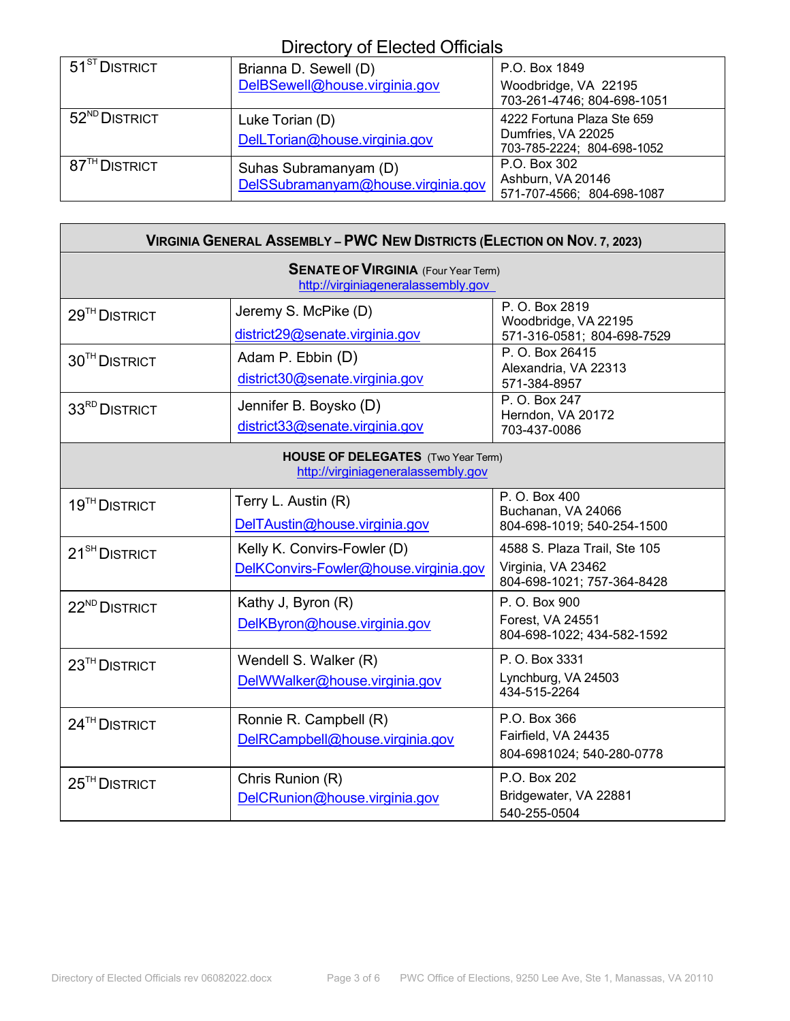| $51^{8T}$ DISTRICT        | Brianna D. Sewell (D)                                       | P.O. Box 1849                                                                  |
|---------------------------|-------------------------------------------------------------|--------------------------------------------------------------------------------|
|                           | DelBSewell@house.virginia.gov                               | Woodbridge, VA 22195<br>703-261-4746; 804-698-1051                             |
| 52 <sup>ND</sup> DISTRICT | Luke Torian (D)<br>DelLTorian@house.virginia.gov            | 4222 Fortuna Plaza Ste 659<br>Dumfries, VA 22025<br>703-785-2224; 804-698-1052 |
| 87 <sup>TH</sup> DISTRICT | Suhas Subramanyam (D)<br>DelSSubramanyam@house.virginia.gov | P.O. Box 302<br>Ashburn, VA 20146<br>571-707-4566; 804-698-1087                |

٦

| <b>VIRGINIA GENERAL ASSEMBLY - PWC NEW DISTRICTS (ELECTION ON NOV. 7, 2023)</b>  |                                                                      |                                                                                  |  |
|----------------------------------------------------------------------------------|----------------------------------------------------------------------|----------------------------------------------------------------------------------|--|
| <b>SENATE OF VIRGINIA</b> (Four Year Term)<br>http://virginiageneralassembly.gov |                                                                      |                                                                                  |  |
| 29 <sup>TH</sup> DISTRICT                                                        | Jeremy S. McPike (D)<br>district29@senate.virginia.gov               | P. O. Box 2819<br>Woodbridge, VA 22195<br>571-316-0581; 804-698-7529             |  |
| 30 <sup>TH</sup> DISTRICT                                                        | Adam P. Ebbin (D)<br>district30@senate.virginia.gov                  | P. O. Box 26415<br>Alexandria, VA 22313<br>571-384-8957                          |  |
| 33 <sup>RD</sup> DISTRICT                                                        | Jennifer B. Boysko (D)<br>district33@senate.virginia.gov             | P. O. Box 247<br>Herndon, VA 20172<br>703-437-0086                               |  |
| <b>HOUSE OF DELEGATES</b> (Two Year Term)<br>http://virginiageneralassembly.gov  |                                                                      |                                                                                  |  |
| 19 <sup>TH</sup> DISTRICT                                                        | Terry L. Austin (R)<br>DelTAustin@house.virginia.gov                 | P. O. Box 400<br>Buchanan, VA 24066<br>804-698-1019; 540-254-1500                |  |
| 21 <sup>SH</sup> DISTRICT                                                        | Kelly K. Convirs-Fowler (D)<br>DelKConvirs-Fowler@house.virginia.gov | 4588 S. Plaza Trail, Ste 105<br>Virginia, VA 23462<br>804-698-1021; 757-364-8428 |  |
| 22 <sup>ND</sup> DISTRICT                                                        | Kathy J, Byron (R)<br>DelKByron@house.virginia.gov                   | P. O. Box 900<br>Forest, VA 24551<br>804-698-1022; 434-582-1592                  |  |
| 23 <sup>TH</sup> DISTRICT                                                        | Wendell S. Walker (R)<br>DelWWalker@house.virginia.gov               | P. O. Box 3331<br>Lynchburg, VA 24503<br>434-515-2264                            |  |
| $24$ <sup>TH</sup> DISTRICT                                                      | Ronnie R. Campbell (R)<br>DelRCampbell@house.virginia.gov            | P.O. Box 366<br>Fairfield, VA 24435<br>804-6981024; 540-280-0778                 |  |
| $25TH$ DISTRICT                                                                  | Chris Runion (R)<br>DelCRunion@house.virginia.gov                    | P.O. Box 202<br>Bridgewater, VA 22881<br>540-255-0504                            |  |

г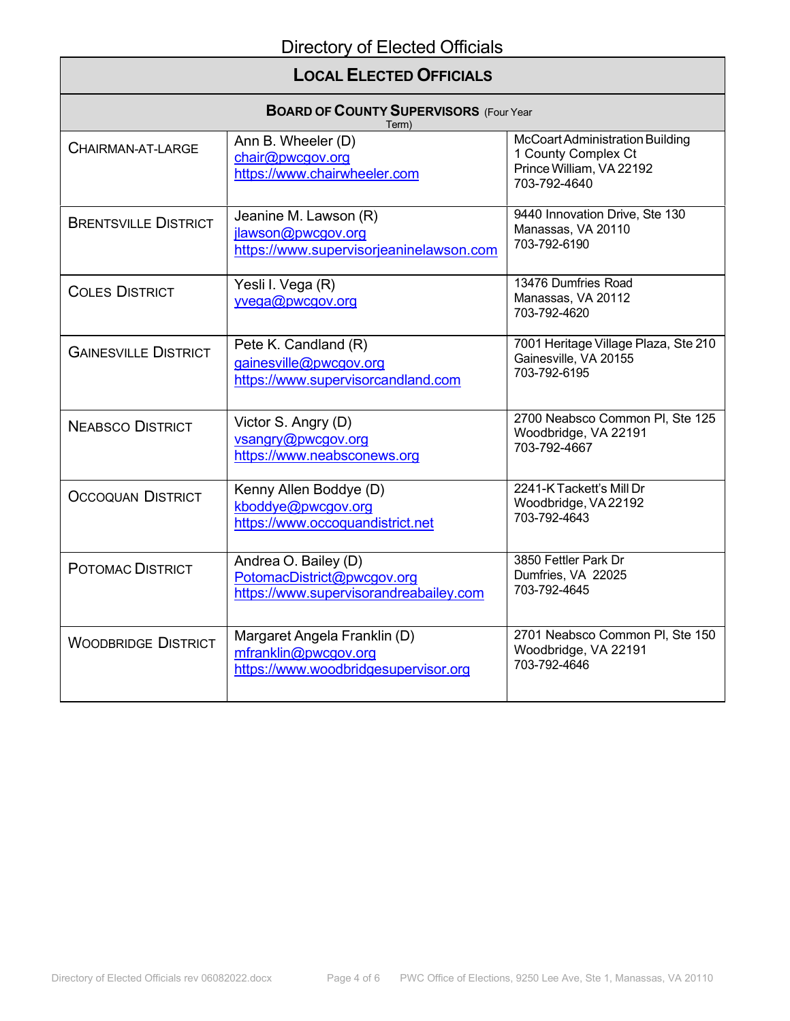## **LOCAL ELECTED OFFICIALS**

| <b>BOARD OF COUNTY SUPERVISORS (Four Year</b><br>Term) |                                                                                              |                                                                                                    |  |
|--------------------------------------------------------|----------------------------------------------------------------------------------------------|----------------------------------------------------------------------------------------------------|--|
| CHAIRMAN-AT-LARGE                                      | Ann B. Wheeler (D)<br>chair@pwcgov.org<br>https://www.chairwheeler.com                       | McCoart Administration Building<br>1 County Complex Ct<br>Prince William, VA 22192<br>703-792-4640 |  |
| <b>BRENTSVILLE DISTRICT</b>                            | Jeanine M. Lawson (R)<br>jlawson@pwcgov.org<br>https://www.supervisorjeaninelawson.com       | 9440 Innovation Drive, Ste 130<br>Manassas, VA 20110<br>703-792-6190                               |  |
| <b>COLES DISTRICT</b>                                  | Yesli I. Vega (R)<br>yvega@pwcgov.org                                                        | 13476 Dumfries Road<br>Manassas, VA 20112<br>703-792-4620                                          |  |
| <b>GAINESVILLE DISTRICT</b>                            | Pete K. Candland (R)<br>gainesville@pwcgov.org<br>https://www.supervisorcandland.com         | 7001 Heritage Village Plaza, Ste 210<br>Gainesville, VA 20155<br>703-792-6195                      |  |
| <b>NEABSCO DISTRICT</b>                                | Victor S. Angry (D)<br>vsangry@pwcgov.org<br>https://www.neabsconews.org                     | 2700 Neabsco Common PI, Ste 125<br>Woodbridge, VA 22191<br>703-792-4667                            |  |
| <b>OCCOQUAN DISTRICT</b>                               | Kenny Allen Boddye (D)<br>kboddye@pwcgov.org<br>https://www.occoquandistrict.net             | 2241-K Tackett's Mill Dr<br>Woodbridge, VA 22192<br>703-792-4643                                   |  |
| POTOMAC DISTRICT                                       | Andrea O. Bailey (D)<br>PotomacDistrict@pwcgov.org<br>https://www.supervisorandreabailey.com | 3850 Fettler Park Dr<br>Dumfries, VA 22025<br>703-792-4645                                         |  |
| <b>WOODBRIDGE DISTRICT</b>                             | Margaret Angela Franklin (D)<br>mfranklin@pwcgov.org<br>https://www.woodbridgesupervisor.org | 2701 Neabsco Common Pl, Ste 150<br>Woodbridge, VA 22191<br>703-792-4646                            |  |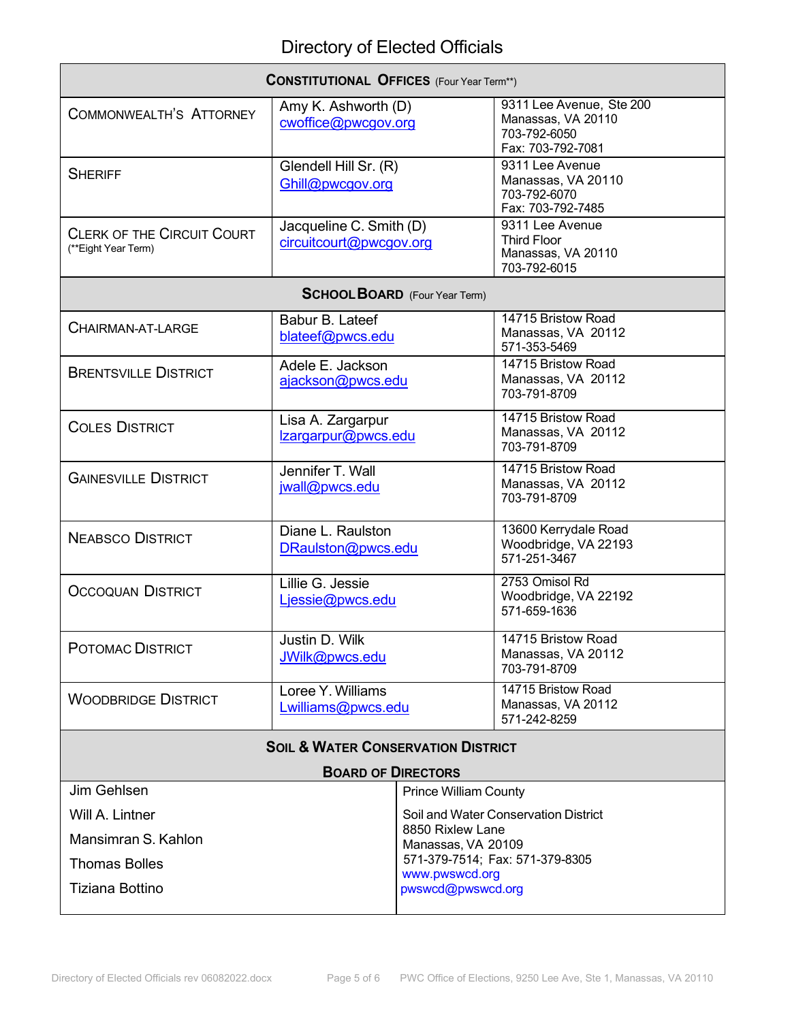| <b>CONSTITUTIONAL OFFICES</b> (Four Year Term**)         |                                                    |                              |                                                                                     |
|----------------------------------------------------------|----------------------------------------------------|------------------------------|-------------------------------------------------------------------------------------|
| COMMONWEALTH'S ATTORNEY                                  | Amy K. Ashworth (D)<br>cwoffice@pwcgov.org         |                              | 9311 Lee Avenue, Ste 200<br>Manassas, VA 20110<br>703-792-6050<br>Fax: 703-792-7081 |
| <b>SHERIFF</b>                                           | Glendell Hill Sr. (R)<br>Ghill@pwcgov.org          |                              | 9311 Lee Avenue<br>Manassas, VA 20110<br>703-792-6070<br>Fax: 703-792-7485          |
| <b>CLERK OF THE CIRCUIT COURT</b><br>(**Eight Year Term) | Jacqueline C. Smith (D)<br>circuitcourt@pwcgov.org |                              | 9311 Lee Avenue<br><b>Third Floor</b><br>Manassas, VA 20110<br>703-792-6015         |
|                                                          | <b>SCHOOL BOARD</b> (Four Year Term)               |                              |                                                                                     |
| CHAIRMAN-AT-LARGE                                        | Babur B. Lateef<br>blateef@pwcs.edu                |                              | 14715 Bristow Road<br>Manassas, VA 20112<br>571-353-5469                            |
| <b>BRENTSVILLE DISTRICT</b>                              | Adele E. Jackson<br>ajackson@pwcs.edu              |                              | 14715 Bristow Road<br>Manassas, VA 20112<br>703-791-8709                            |
| <b>COLES DISTRICT</b>                                    | Lisa A. Zargarpur<br>Izargarpur@pwcs.edu           |                              | 14715 Bristow Road<br>Manassas, VA 20112<br>703-791-8709                            |
| <b>GAINESVILLE DISTRICT</b>                              | Jennifer T. Wall<br>jwall@pwcs.edu                 |                              | 14715 Bristow Road<br>Manassas, VA 20112<br>703-791-8709                            |
| <b>NEABSCO DISTRICT</b>                                  | Diane L. Raulston<br>DRaulston@pwcs.edu            |                              | 13600 Kerrydale Road<br>Woodbridge, VA 22193<br>571-251-3467                        |
| <b>OCCOQUAN DISTRICT</b>                                 | Lillie G. Jessie<br>Ljessie@pwcs.edu               |                              | 2753 Omisol Rd<br>Woodbridge, VA 22192<br>571-659-1636                              |
| POTOMAC DISTRICT                                         | Justin D. Wilk<br>JWilk@pwcs.edu                   |                              | 14715 Bristow Road<br>Manassas, VA 20112<br>703-791-8709                            |
| <b>WOODBRIDGE DISTRICT</b>                               | Loree Y. Williams<br>Lwilliams@pwcs.edu            |                              | 14715 Bristow Road<br>Manassas, VA 20112<br>571-242-8259                            |
| <b>SOIL &amp; WATER CONSERVATION DISTRICT</b>            |                                                    |                              |                                                                                     |
| <b>BOARD OF DIRECTORS</b>                                |                                                    |                              |                                                                                     |
| Jim Gehlsen                                              |                                                    | <b>Prince William County</b> | Soil and Water Conservation District                                                |
| Will A. Lintner                                          |                                                    | 8850 Rixlew Lane             |                                                                                     |
| Mansimran S. Kahlon                                      | Manassas, VA 20109                                 |                              | 571-379-7514; Fax: 571-379-8305                                                     |
| <b>Thomas Bolles</b>                                     | www.pwswcd.org                                     |                              |                                                                                     |
| Tiziana Bottino                                          |                                                    | pwswcd@pwswcd.org            |                                                                                     |